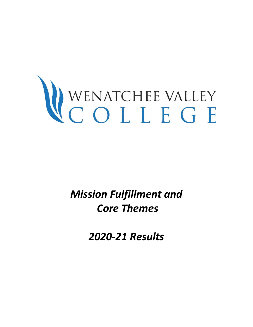# WENATCHEE VALLEY

*Mission Fulfillment and Core Themes* 

*2020-21 Results*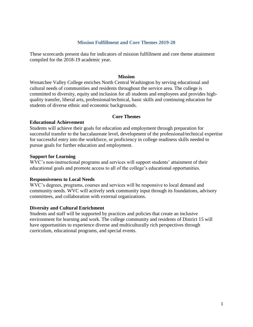#### **Mission Fulfillment and Core Themes 2019-20**

These scorecards present data for indicators of mission fulfillment and core theme attainment compiled for the 2018-19 academic year.

#### **Mission**

Wenatchee Valley College enriches North Central Washington by serving educational and cultural needs of communities and residents throughout the service area. The college is committed to diversity, equity and inclusion for all students and employees and provides highquality transfer, liberal arts, professional/technical, basic skills and continuing education for students of diverse ethnic and economic backgrounds.

#### **Core Themes**

#### **Educational Achievement**

Students will achieve their goals for education and employment through preparation for successful transfer to the baccalaureate level, development of the professional/technical expertise for successful entry into the workforce, or proficiency in college readiness skills needed to pursue goals for further education and employment.

#### **Support for Learning**

WVC's non-instructional programs and services will support students' attainment of their educational goals and promote access to all of the college's educational opportunities.

#### **Responsiveness to Local Needs**

WVC's degrees, programs, courses and services will be responsive to local demand and community needs. WVC will actively seek community input through its foundations, advisory committees, and collaboration with external organizations.

#### **Diversity and Cultural Enrichment**

Students and staff will be supported by practices and policies that create an inclusive environment for learning and work. The college community and residents of District 15 will have opportunities to experience diverse and multiculturally rich perspectives through curriculum, educational programs, and special events.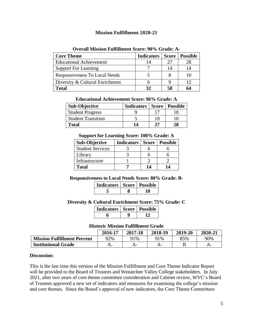## **Mission Fulfillment 2020-21**

| <b>Core Theme</b>               | <b>Indicators</b> | Score | <b>Possible</b> |
|---------------------------------|-------------------|-------|-----------------|
| <b>Educational Achievement</b>  | 14                |       | 28              |
| <b>Support For Learning</b>     |                   |       |                 |
| Responsiveness To Local Needs   |                   |       |                 |
| Diversity & Cultural Enrichment |                   |       | 12              |
| <b>Total</b>                    | 32                | 58    |                 |

#### **Overall Mission Fulfillment Score: 90% Grade: A-**

| <b>Educational Achievement Score: 96% Grade: A</b> |  |  |
|----------------------------------------------------|--|--|
|                                                    |  |  |

| <b>Sub-Objective</b>      | <b>Indicators</b> |    | Score   Possible |
|---------------------------|-------------------|----|------------------|
| <b>Student Progress</b>   |                   |    |                  |
| <b>Student Transition</b> |                   | 10 | 10               |
| <b>Total</b>              | 14                | די | 28               |

#### **Support for Learning Score: 100% Grade: A**

| <b>Sub-Objective</b>    | <b>Indicators</b> | <b>Score</b> | <b>Possible</b> |
|-------------------------|-------------------|--------------|-----------------|
| <b>Student Services</b> |                   |              |                 |
| Library                 |                   |              |                 |
| Infrastructure          |                   |              |                 |
| <b>Total</b>            |                   | 14           | 14              |

#### **Responsiveness to Local Needs Score: 80% Grade: B-**

| Indicators   Score   Possible |  |
|-------------------------------|--|
|                               |  |

**Diversity & Cultural Enrichment Score: 75% Grade: C**

| Indicators   Score   Possible |  |
|-------------------------------|--|
|                               |  |

#### **Historic Mission Fulfillment Grade**

|                                    | 2016-17 | 2017-18 | 2018-19 | 2019-20 | 2020-21 |
|------------------------------------|---------|---------|---------|---------|---------|
| <b>Mission Fulfillment Percent</b> | 92%     | 91%     | 91%     | 85%     | 90%     |
| <b>Institutional Grade</b>         | $A-$    |         |         |         | A-      |

#### **Discussion:**

This is the last time this version of the Mission Fulfillment and Core Theme Indicator Report will be provided to the Board of Trustees and Wenatchee Valley College stakeholders. In July 2021, after two years of core theme committee consideration and Cabinet review, WVC's Board of Trustees approved a new set of indicators and measures for examining the college's mission and core themes. Since the Board's approval of new indicators, the Core Theme Committees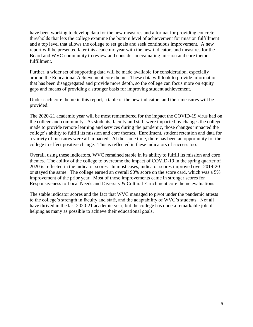have been working to develop data for the new measures and a format for providing concrete thresholds that lets the college examine the bottom level of achievement for mission fulfillment and a top level that allows the college to set goals and seek continuous improvement. A new report will be presented later this academic year with the new indicators and measures for the Board and WVC community to review and consider in evaluating mission and core theme fulfillment.

Further, a wider set of supporting data will be made available for consideration, especially around the Educational Achievement core theme. These data will look to provide information that has been disaggregated and provide more depth, so the college can focus more on equity gaps and means of providing a stronger basis for improving student achievement.

Under each core theme in this report, a table of the new indicators and their measures will be provided.

The 2020-21 academic year will be most remembered for the impact the COVID-19 virus had on the college and community. As students, faculty and staff were impacted by changes the college made to provide remote learning and services during the pandemic, those changes impacted the college's ability to fulfill its mission and core themes. Enrollment, student retention and data for a variety of measures were all impacted. At the same time, there has been an opportunity for the college to effect positive change. This is reflected in these indicators of success too.

Overall, using these indicators, WVC remained stable in its ability to fulfill its mission and core themes. The ability of the college to overcome the impact of COVID-19 in the spring quarter of 2020 is reflected in the indicator scores. In most cases, indicator scores improved over 2019-20 or stayed the same. The college earned an overall 90% score on the score card, which was a 5% improvement of the prior year. Most of those improvements came in stronger scores for Responsiveness to Local Needs and Diversity & Cultural Enrichment core theme evaluations.

The stable indicator scores and the fact that WVC managed to pivot under the pandemic attests to the college's strength in faculty and staff, and the adaptability of WVC's students. Not all have thrived in the last 2020-21 academic year, but the college has done a remarkable job of helping as many as possible to achieve their educational goals.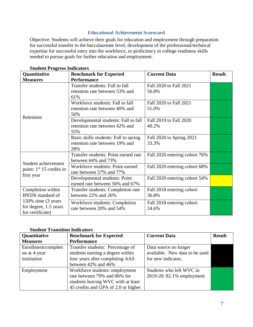## **Educational Achievement Scorecard**

Objective: Students will achieve their goals for education and employment through preparation for successful transfer to the baccalaureate level, development of the professional/technical expertise for successful entry into the workforce, or proficiency in college readiness skills needed to pursue goals for further education and employment.

| Quantitative<br><b>Benchmark for Expected</b>                    |                                                                                | <b>Current Data</b>                | <b>Result</b> |
|------------------------------------------------------------------|--------------------------------------------------------------------------------|------------------------------------|---------------|
| <b>Measures</b>                                                  | <b>Performance</b>                                                             |                                    |               |
|                                                                  | Transfer students: Fall to fall<br>retention rate between 53% and<br>61%       | Fall 2020 to Fall 2021<br>56.8%    |               |
|                                                                  | Workforce students: Fall to fall<br>retention rate between 40% and<br>56%      | Fall 2020 to Fall 2021<br>51.0%    |               |
| Retention                                                        | Developmental students: Fall to fall<br>retention rate between 42% and<br>55%  | Fall 2019 to Fall 2020<br>40.2%    |               |
|                                                                  | Basic skills students: Fall to spring<br>retention rate between 19% and<br>28% | Fall 2020 to Spring 2021<br>33.3%  |               |
|                                                                  | Transfer students: Point earned rate<br>between 64% and 73%                    | Fall 2020 entering cohort 76%      |               |
| Student achievement<br>point: $1st 15$ credits in                | Workforce students: Point earned<br>rate between 57% and 77%                   | Fall 2020 entering cohort 68%      |               |
| first year                                                       | Developmental students: Point<br>earned rate between 56% and 67%               | Fall 2020 entering cohort 54%      |               |
| Completion within<br><b>IPEDS</b> standard of                    | Transfer students: Completion rate<br>between 22% and 26%                      | Fall 2018 entering cohort<br>36.8% |               |
| 150% time (3 years)<br>for degree, 1.5 years<br>for certificate) | Workforce students: Completion<br>rate between 20% and 54%                     | Fall 2018 entering cohort<br>24.6% |               |

|  | <b>Student Progress Indicators</b> |
|--|------------------------------------|
|  |                                    |

## **Student Transition Indicators**

| Quantitative        | <b>Benchmark for Expected</b>       | <b>Current Data</b>            | <b>Result</b> |
|---------------------|-------------------------------------|--------------------------------|---------------|
| <b>Measures</b>     | <b>Performance</b>                  |                                |               |
| Enrollment/completi | Transfer students: Percentage of    | Data source no longer          |               |
| on at 4-year        | students earning a degree within    | available. New data to be used |               |
| institution         | four years after completing AAS     | for new indicator.             |               |
|                     | between 42% and 46%                 |                                |               |
| Employment          | Workforce students: employment      | Students who left WVC in       |               |
|                     | rate between 79% and 86% for        | 2019-20: 82.1% employment      |               |
|                     | students leaving WVC with at least  |                                |               |
|                     | 45 credits and GPA of 2.0 or higher |                                |               |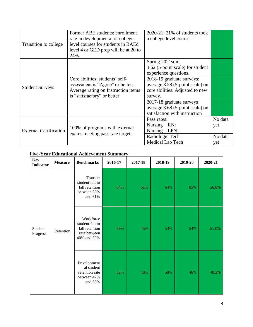| Transition to college         | Former ABE students: enrollment<br>rate in developmental or college-<br>level courses for students in BAEd<br>level 4 or GED prep will be at 20 to<br>24%. | $2020-21:21\%$ of students took<br>a college level course.                                                 |                           |
|-------------------------------|------------------------------------------------------------------------------------------------------------------------------------------------------------|------------------------------------------------------------------------------------------------------------|---------------------------|
|                               |                                                                                                                                                            | Spring 2021stud<br>3.62 (5-point scale) for student<br>experience questions.                               |                           |
| <b>Student Surveys</b>        | Core abilities: students' self-<br>assessment is "Agree" or better;<br>Average rating on Instruction items<br>is "satisfactory" or better                  | 2018-19 graduate surveys:<br>average 3.58 (5-point scale) on<br>core abilities. Adjusted to new<br>survey. |                           |
|                               |                                                                                                                                                            | 2017-18 graduate surveys<br>average 3.68 (5-point scale) on<br>satisfaction with instruction               |                           |
| <b>External Certification</b> | 100% of programs with external<br>exams meeting pass rate targets                                                                                          | Pass rates:<br>Nursing $-RN$ :<br>Nursing $-LPN$ :<br>Radiologic Tech                                      | No data<br>yet<br>No data |
|                               |                                                                                                                                                            | Medical Lab Tech                                                                                           | yet                       |

# F**ive-Year Educational Achievement Summary**

| <b>Key</b><br><b>Indicator</b>   | <b>Measure</b>                                                                | <b>Benchmarks</b>                                                       | 2016-17 | 2017-18 | 2018-19 | 2019-20 | 2020-21 |
|----------------------------------|-------------------------------------------------------------------------------|-------------------------------------------------------------------------|---------|---------|---------|---------|---------|
| Student<br>Retention<br>Progress |                                                                               | Transfer<br>student fall to<br>fall retention<br>between 53%<br>and 61% | 64%     | 61%     | 64%     | 65%     | 56.8%   |
|                                  | Workforce<br>student fall to<br>fall retention<br>rate between<br>40% and 50% | 59%                                                                     | 45%     | 53%     | 54%     | 51.0%   |         |
|                                  |                                                                               | Development<br>al student<br>retention rate<br>between 42%<br>and 55%   | 52%     | 48%     | 50%     | 46%     | 40.2%   |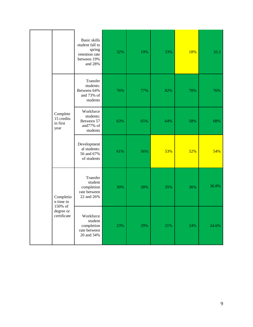|  |                                                                                                             | <b>Basic skills</b><br>student fall to<br>spring<br>retention rate<br>between 19%<br>and 28% | 32% | 19% | 33% | 18% | 33.3  |
|--|-------------------------------------------------------------------------------------------------------------|----------------------------------------------------------------------------------------------|-----|-----|-----|-----|-------|
|  |                                                                                                             | Transfer<br>students:<br>Between 64%<br>and 73% of<br>students                               | 76% | 77% | 82% | 78% | 76%   |
|  | Complete<br>15 credits<br>in first<br>year<br>Completio<br>n time in<br>150% of<br>degree or<br>certificate | Workforce<br>students:<br>Between 57<br>and77% of<br>students                                | 63% | 65% | 64% | 58% | 68%   |
|  |                                                                                                             | Development<br>al students:<br>56 and 67%<br>of students                                     | 61% | 56% | 53% | 52% | 54%   |
|  |                                                                                                             | Transfer<br>student<br>completion<br>rate between<br>22 and 26%                              | 30% | 28% | 35% | 36% | 36.8% |
|  |                                                                                                             | Workforce<br>student<br>completion<br>rate between<br>20 and 34%                             | 23% | 29% | 21% | 24% | 24.6% |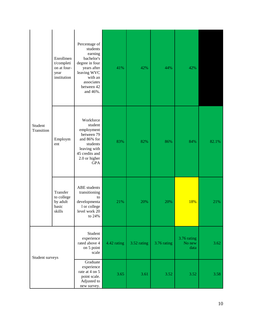|                       | Enrollmen<br>t/completi<br>on at four-<br>year<br>institution | Percentage of<br>students<br>earning<br>bachelor's<br>degree in four<br>years after<br>leaving WVC<br>with an<br>associates<br>between 42<br>and 46%. | 41%         | 42%         | 44%         | 42%                           |       |
|-----------------------|---------------------------------------------------------------|-------------------------------------------------------------------------------------------------------------------------------------------------------|-------------|-------------|-------------|-------------------------------|-------|
| Student<br>Transition | Employm<br>ent                                                | Workforce<br>student<br>employment<br>between 79<br>and 86% for<br>students<br>leaving with<br>45 credits and<br>2.0 or higher<br><b>GPA</b>          | 83%         | 82%         | 86%         | 84%                           | 82.1% |
|                       | Transfer<br>to college<br>by adult<br>basic<br>skills         | ABE students<br>transitioning<br>to<br>developmenta<br>1 or college<br>level work 20<br>to 24%                                                        | 21%         | 20%         | 20%         | 18%                           | 21%   |
| Student surveys       |                                                               | Student<br>experience<br>rated above 4<br>on 5 point<br>scale                                                                                         | 4.42 rating | 3.52 rating | 3.76 rating | 3.76 rating<br>No new<br>data | 3.62  |
|                       |                                                               | Graduate<br>experience<br>rate at 4 on 5<br>point scale.<br>Adjusted to<br>new survey.                                                                | 3.65        | 3.61        | 3.52        | 3.52                          | 3.58  |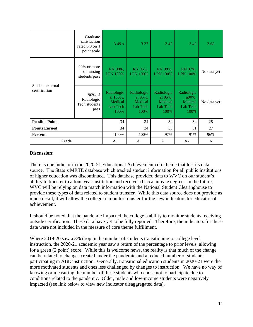|                                   | Graduate<br>satisfaction<br>rated 3.3 on 4<br>point scale | 3.49 x                                                | 3.37                                                 | 3.42                                                 | 3.42                                               | 3.68        |
|-----------------------------------|-----------------------------------------------------------|-------------------------------------------------------|------------------------------------------------------|------------------------------------------------------|----------------------------------------------------|-------------|
|                                   | 90% or more<br>of nursing<br>students pass                | RN 90&,<br><b>LPN 100%</b>                            | RN 96%,<br><b>LPN 100%</b>                           | RN 98%,<br><b>LPN 100%</b>                           | RN 97%,<br><b>LPN 100%</b>                         | No data yet |
| Student external<br>certification | 90% of<br>Radiologic<br>Tech students<br>pass             | Radiologic<br>al 100%,<br>Medical<br>Lab Tech<br>100% | Radiologic<br>al 95%,<br>Medical<br>Lab Tech<br>100% | Radiologic<br>al 95%,<br>Medical<br>Lab Tech<br>100% | Radiologic<br>a90%,<br>Medical<br>Lab Tech<br>100% | No data yet |
| <b>Possible Points</b>            |                                                           | 34                                                    | 34                                                   | 34                                                   | 34                                                 | 28          |
| <b>Points Earned</b>              |                                                           | 34                                                    | 34                                                   | 33                                                   | 31                                                 | 27          |
| Percent                           |                                                           | 100%                                                  | 100%                                                 | 97%                                                  | 91%                                                | 96%         |
| Grade                             |                                                           | A                                                     | A                                                    | A                                                    | A-                                                 | A           |

There is one indictor in the 2020-21 Educational Achievement core theme that lost its data source. The State's MRTE database which tracked student information for all public institutions of higher education was discontinued. This database provided data to WVC on our student's ability to transfer to a four-year institution and receive a baccalaureate degree. In the future, WVC will be relying on data match information with the National Student Clearinghouse to provide these types of data related to student transfer. While this data source does not provide as much detail, it will allow the college to monitor transfer for the new indicators for educational achievement.

It should be noted that the pandemic impacted the college's ability to monitor students receiving outside certification. These data have yet to be fully reported. Therefore, the indicators for these data were not included in the measure of core theme fulfillment.

Where 2019-20 saw a 3% drop in the number of students transitioning to college level instruction, the 2020-21 academic year saw a return of the percentage to prior levels, allowing for a green (2 point) score. While this is welcome news, the reality is that much of the change can be related to changes created under the pandemic and a reduced number of students participating in ABE instruction. Generally, transitional education students in 2020-21 were the more motivated students and ones less challenged by changes to instruction. We have no way of knowing or measuring the number of these students who chose not to participate due to conditions related to the pandemic. Older, male and low-income students were negatively impacted (see link below to view new indicator disaggregated data).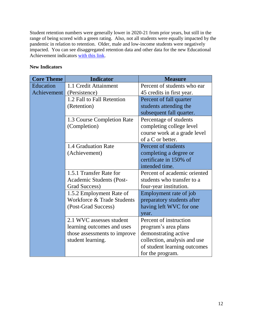Student retention numbers were generally lower in 2020-21 from prior years, but still in the range of being scored with a green rating. Also, not all students were equally impacted by the pandemic in relation to retention. Older, male and low-income students were negatively impacted. You can see disaggregated retention data and other data for the new Educational Achievement indicators [with this link.](https://www.wvc.edu/about/mission.html)

## **New Indicators**

| <b>Core Theme</b> | <b>Indicator</b>             | <b>Measure</b>               |
|-------------------|------------------------------|------------------------------|
| Education         | 1.1 Credit Attainment        | Percent of students who ear  |
| Achievement       | (Persistence)                | 45 credits in first year.    |
|                   | 1.2 Fall to Fall Retention   | Percent of fall quarter      |
|                   | (Retention)                  | students attending the       |
|                   |                              | subsequent fall quarter.     |
|                   | 1.3 Course Completion Rate   | Percentage of students       |
|                   | (Completion)                 | completing college level     |
|                   |                              | course work at a grade level |
|                   |                              | of a C or better.            |
|                   | 1.4 Graduation Rate          | Percent of students          |
|                   | (Achievement)                | completing a degree or       |
|                   |                              | certificate in 150% of       |
|                   |                              | intended time.               |
|                   | 1.5.1 Transfer Rate for      | Percent of academic oriented |
|                   | Academic Students (Post-     | students who transfer to a   |
|                   | Grad Success)                | four-year institution.       |
|                   | 1.5.2 Employment Rate of     | Employment rate of job       |
|                   | Workforce & Trade Students   | preparatory students after   |
|                   | (Post-Grad Success)          | having left WVC for one      |
|                   |                              | year.                        |
|                   | 2.1 WVC assesses student     | Percent of instruction       |
|                   | learning outcomes and uses   | program's area plans         |
|                   | those assessments to improve | demonstrating active         |
|                   | student learning.            | collection, analysis and use |
|                   |                              | of student learning outcomes |
|                   |                              | for the program.             |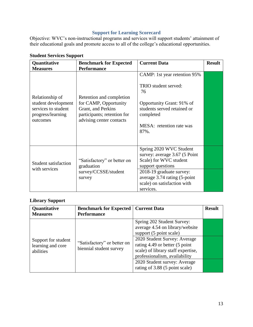# **Support for Learning Scorecard**

Objective: WVC's non-instructional programs and services will support students' attainment of their educational goals and promote access to all of the college's educational opportunities.

| Quantitative                                                                                   | <b>Benchmark for Expected</b>                                                                                                      | <b>Current Data</b>                                                                                                                                                                                             | <b>Result</b> |
|------------------------------------------------------------------------------------------------|------------------------------------------------------------------------------------------------------------------------------------|-----------------------------------------------------------------------------------------------------------------------------------------------------------------------------------------------------------------|---------------|
| <b>Measures</b>                                                                                | <b>Performance</b>                                                                                                                 |                                                                                                                                                                                                                 |               |
| Relationship of<br>student development<br>services to student<br>progress/learning<br>outcomes | Retention and completion<br>for CAMP, Opportunity<br>Grant, and Perkins<br>participants; retention for<br>advising center contacts | CAMP: 1st year retention 95%<br>TRIO student served:<br>76<br>Opportunity Grant: 91% of<br>students served retained or<br>completed<br>MESA: retention rate was<br>87%.                                         |               |
| <b>Student satisfaction</b><br>with services                                                   | "Satisfactory" or better on<br>graduation<br>survey/CCSSE/student<br>survey                                                        | Spring 2020 WVC Student<br>survey: average 3.67 (5 Point<br>Scale) for WVC student<br>support questions<br>2018-19 graduate survey:<br>average 3.74 rating (5-point<br>scale) on satisfaction with<br>services. |               |

# **Student Services Support**

# **Library Support**

| Quantitative<br><b>Measures</b>                       | <b>Benchmark for Expected</b><br><b>Performance</b>    | <b>Current Data</b>                                                                                                                                                                                                                                                                                 | <b>Result</b> |
|-------------------------------------------------------|--------------------------------------------------------|-----------------------------------------------------------------------------------------------------------------------------------------------------------------------------------------------------------------------------------------------------------------------------------------------------|---------------|
| Support for student<br>learning and core<br>abilities | "Satisfactory" or better on<br>biennial student survey | Spring 202 Student Survey:<br>average 4.54 on library/website<br>support (5 point scale)<br>2020 Student Survey: Average<br>rating 4.49 or better (5 point<br>scale) of library staff expertise,<br>professionalism, availability<br>2020 Student survey: Average<br>rating of 3.88 (5 point scale) |               |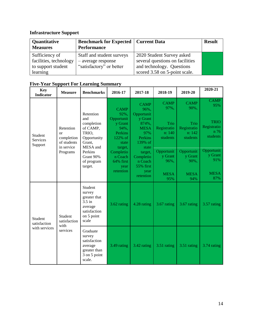# **Infrastructure Support**

| Quantitative<br><b>Measures</b> | <b>Benchmark for Expected   Current Data</b><br><b>Performance</b> |                                 | <b>Result</b> |
|---------------------------------|--------------------------------------------------------------------|---------------------------------|---------------|
| Sufficiency of                  | Staff and student surveys                                          | 2020 Student Survey asked       |               |
| facilities, technology          | - average response                                                 | several questions on facilities |               |
| to support student              | "satisfactory" or better                                           | and technology. Questions       |               |
| learning                        |                                                                    | scored 3.58 on 5-point scale.   |               |

| <b>Key</b><br><b>Indicator</b>           | <b>Measure</b>                                                                    | <b>Benchmarks</b>                                                                                                                         | 2016-17                                                                                                                                                  | 2017-18                                                                                                                                                    | 2018-19                                                                                           | 2019-20                                                                                           | 2020-21                                                                                              |
|------------------------------------------|-----------------------------------------------------------------------------------|-------------------------------------------------------------------------------------------------------------------------------------------|----------------------------------------------------------------------------------------------------------------------------------------------------------|------------------------------------------------------------------------------------------------------------------------------------------------------------|---------------------------------------------------------------------------------------------------|---------------------------------------------------------------------------------------------------|------------------------------------------------------------------------------------------------------|
| Student<br>Services<br>Support           | Retention<br><sub>or</sub><br>completion<br>of students<br>in service<br>Programs | Retention<br>and<br>completion<br>of CAMP,<br>TRIO,<br>Opportunity<br>Grant,<br>MESA and<br>Perkins<br>Grant 90%<br>of program<br>target. | <b>CAMP</b><br>92%,<br>Opportunit<br>y Grant<br>94%,<br>Perkins<br>122% of<br>state<br>target,<br>Completio<br>n Coach<br>64% first<br>year<br>retention | <b>CAMP</b><br>96%,<br>Opportunit<br>y Grant<br>874%,<br><b>MESA</b><br>97%<br>Perkins<br>139% of<br>state<br>target,<br>Completio<br>n Coach<br>55% first | <b>CAMP</b><br>97%,<br>Trio<br>Registratio<br>n: 140<br>students<br>Opportunit<br>y Grant<br>96%, | <b>CAMP</b><br>90%,<br>Trio<br>Registratio<br>n: 142<br>students<br>Opportunit<br>y Grant<br>90%, | <b>CAMP</b><br>95%<br><b>TRIO</b><br>Registratio<br>n 76<br>students<br>Opportunit<br>y Grant<br>91% |
|                                          |                                                                                   |                                                                                                                                           |                                                                                                                                                          | year<br>retention                                                                                                                                          | <b>MESA</b><br>95%                                                                                | <b>MESA</b><br>94%                                                                                | <b>MESA</b><br>87%                                                                                   |
| Student<br>satisfaction<br>with services | Student<br>satisfaction                                                           | Student<br>survey<br>greater that<br>$3.5$ in<br>average<br>satisfaction<br>on 5 point<br>scale                                           | 3.62 rating                                                                                                                                              | 4.28 rating                                                                                                                                                | 3.67 rating                                                                                       | 3.67 rating                                                                                       | 3.57 rating                                                                                          |
|                                          | with<br>services                                                                  | Graduate<br>survey<br>satisfaction<br>average<br>greater than<br>3 on 5 point<br>scale.                                                   | 3.49 rating                                                                                                                                              | 3.42 rating                                                                                                                                                | 3.51 rating                                                                                       | 3.51 rating                                                                                       | 3.74 rating                                                                                          |

# **Five-Year Support For Learning Summary**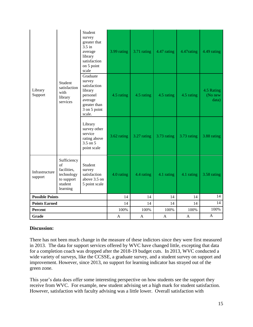|                           |                                                                                     | Student<br>survey<br>greater that<br>$3.5$ in<br>average<br>library<br>satisfaction<br>on 5 point<br>scale     | 3.99 rating | 3.71 rating | 4.47 rating | 4.47rating  | 4.49 rating                    |
|---------------------------|-------------------------------------------------------------------------------------|----------------------------------------------------------------------------------------------------------------|-------------|-------------|-------------|-------------|--------------------------------|
| Library<br>Support        | Student<br>satisfaction<br>with<br>library<br>services                              | Graduate<br>survey<br>satisfaction<br>library<br>personel<br>average<br>greater than<br>3 on 5 point<br>scale. | 4.5 rating  | 4.5 rating  | 4.5 rating  | 4.5 rating  | 4.5 Rating<br>(No new<br>data) |
|                           |                                                                                     | Library<br>survey other<br>service<br>rating above<br>3.5 on 5<br>point scale                                  | 3.62 rating | 3.27 rating | 3.73 rating | 3.73 rating | 3.88 rating                    |
| Infrastructure<br>support | Sufficiency<br>of<br>facilities,<br>technology<br>to support<br>student<br>learning | Student<br>survey<br>satisfaction<br>above 3.5 on<br>5 point scale                                             | 4.0 rating  | 4.4 rating  | 4.1 rating  | 4.1 rating  | 3.58 rating                    |
| <b>Possible Points</b>    |                                                                                     |                                                                                                                | 14          | 14          | 14          | 14          | 14                             |
| <b>Points Earned</b>      |                                                                                     | 14                                                                                                             | 14          | 14          | 14          | 14          |                                |
| Percent                   |                                                                                     |                                                                                                                | 100%        | 100%        | 100%        | 100%        | 100%                           |
| Grade                     |                                                                                     |                                                                                                                | A           | A           | A           | A           | $\mathbf{A}$                   |

There has not been much change in the measure of these indictors since they were first measured in 2013. The data for support services offered by WVC have changed little, excepting that data for a completion coach was dropped after the 2018-19 budget cuts. In 2013, WVC conducted a wide variety of surveys, like the CCSSE, a graduate survey, and a student survey on support and improvement. However, since 2013, no support for learning indicator has strayed out of the green zone.

This year's data does offer some interesting perspective on how students see the support they receive from WVC. For example, new student advising set a high mark for student satisfaction. However, satisfaction with faculty advising was a little lower. Overall satisfaction with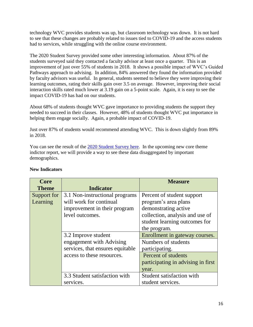technology WVC provides students was up, but classroom technology was down. It is not hard to see that these changes are probably related to issues tied to COVID-19 and the access students had to services, while struggling with the online course environment.

The 2020 Student Survey provided some other interesting information. About 87% of the students surveyed said they contacted a faculty advisor at least once a quarter. This is an improvement of just over 55% of students in 2018. It shows a possible impact of WVC's Guided Pathways approach to advising. In addition, 84% answered they found the information provided by faculty advisors was useful. In general, students seemed to believe they were improving their learning outcomes, rating their skills gain over 3.5 on average. However, improving their social interaction skills rated much lower at 3.19 gain on a 5-point scale. Again, it is easy to see the impact COVID-19 has had on our students.

About 68% of students thought WVC gave importance to providing students the support they needed to succeed in their classes. However, 48% of students thought WVC put importance in helping them engage socially. Again, a probable impact of COVID-19.

Just over 87% of students would recommend attending WVC. This is down slightly from 89% in 2018.

You can see the result of the [2020 Student Survey here.](https://www.surveymonkey.com/stories/SM-RXG5GTSJ/) In the upcoming new core theme indictor report, we will provide a way to see these data disaggregated by important demographics.

| Core         |                                  | <b>Measure</b>                     |
|--------------|----------------------------------|------------------------------------|
| <b>Theme</b> | <b>Indicator</b>                 |                                    |
| Support for  | 3.1 Non-instructional programs   | Percent of student support         |
| Learning     | will work for continual          | program's area plans               |
|              | improvement in their program     | demonstrating active               |
|              | level outcomes.                  | collection, analysis and use of    |
|              |                                  | student learning outcomes for      |
|              |                                  | the program.                       |
|              | 3.2 Improve student              | Enrollment in gateway courses.     |
|              | engagement with Advising         | Numbers of students                |
|              | services, that ensures equitable | participating.                     |
|              | access to these resources.       | Percent of students                |
|              |                                  | participating in advising in first |
|              |                                  | year.                              |
|              | 3.3 Student satisfaction with    | Student satisfaction with          |
|              | services.                        | student services.                  |

# **New Indicators**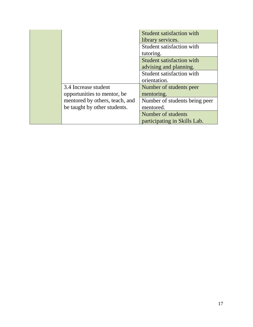|                                                                | <b>Student satisfaction with</b><br>library services. |
|----------------------------------------------------------------|-------------------------------------------------------|
|                                                                | Student satisfaction with<br>tutoring.                |
|                                                                | Student satisfaction with<br>advising and planning.   |
|                                                                | Student satisfaction with<br>orientation.             |
| 3.4 Increase student<br>opportunities to mentor, be            | Number of students peer<br>mentoring.                 |
| mentored by others, teach, and<br>be taught by other students. | Number of students being peer<br>mentored.            |
|                                                                | Number of students<br>participating in Skills Lab.    |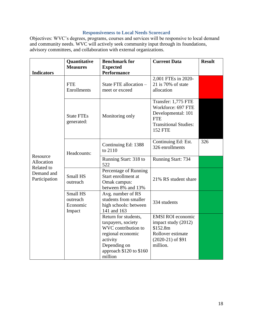## **Responsiveness to Local Needs Scorecard**

Objectives: WVC's degrees, programs, courses and services will be responsive to local demand and community needs. WVC will actively seek community input through its foundations, advisory committees, and collaboration with external organizations.

| <b>Result</b> |
|---------------|
|               |
|               |
|               |
|               |
|               |
|               |
|               |
|               |
|               |
|               |
|               |
| 326           |
|               |
|               |
|               |
|               |
|               |
|               |
|               |
|               |
|               |
|               |
|               |
|               |
|               |
|               |
|               |
|               |
|               |
|               |
|               |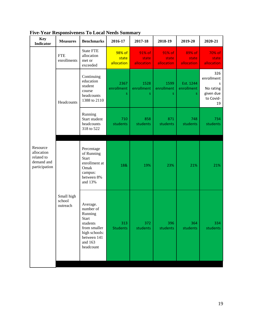| <b>Key</b><br><b>Indicator</b>                                      | <b>Measures</b>                  | <b>Benchmarks</b>                                                                                                             | 2016-17                       | 2017-18                       | 2018-19                       | 2019-20                       | 2020-21                                                             |
|---------------------------------------------------------------------|----------------------------------|-------------------------------------------------------------------------------------------------------------------------------|-------------------------------|-------------------------------|-------------------------------|-------------------------------|---------------------------------------------------------------------|
|                                                                     | <b>FTE</b><br>enrollments        | <b>State FTE</b><br>allocation<br>met or<br>exceeded                                                                          | 98% of<br>state<br>allocation | 91% of<br>state<br>allocation | 91% of<br>state<br>allocation | 89% of<br>state<br>allocation | 70% of<br>state<br>allocation                                       |
|                                                                     | Headcounts                       | Continuing<br>education<br>student<br>course<br>headcounts<br>1388 to 2110                                                    | 2367<br>enrollment<br>S       | 1528<br>enrollment<br>S       | 1599<br>enrollment<br>S       | Est. 1244<br>enrollment<br>S. | 326<br>enrollment<br>S<br>No rating<br>given due<br>to Covid-<br>19 |
|                                                                     |                                  | Running<br>Start student<br>headcounts<br>318 to 522                                                                          | 710<br>students               | 858<br>students               | 871<br>students               | 748<br>students               | 734<br>students                                                     |
| Resource<br>allocation<br>related to<br>demand and<br>participation |                                  | Percentage<br>of Running<br><b>Start</b><br>enrollment at<br>Omak<br>campus:<br>between 8%<br>and 13%                         | 18&                           | 19%                           | 23%                           | 21%                           | 21%                                                                 |
|                                                                     | Small high<br>school<br>outreach | Average.<br>number of<br>Running<br>Start<br>students<br>from smaller<br>high schools:<br>between 141<br>and 163<br>headcount | 313<br><b>Students</b>        | 372<br>students               | 396<br>students               | 364<br>students               | 334<br>students                                                     |

**Five-Year Responsiveness To Local Needs Summary**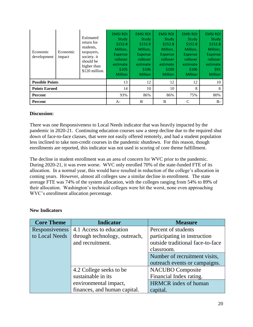| Economic<br>development | Economic<br>impact | Estimated<br>return for<br>students.<br>taxpayers,<br>society. it<br>should be<br>higher than<br>\$120 million. | <b>EMSI ROI</b><br>Study<br>\$152.8<br>Million,<br><b>Expense</b><br>rollover<br>estimate<br>\$105<br><b>Million</b> | <b>EMSI ROI</b><br>Study<br>\$152.8<br>Million,<br><b>Expense</b><br>rollover<br>estimate<br>\$106<br><b>Million</b> | <b>EMSI ROI</b><br>Study<br>\$152.8<br>Million.<br><b>Expense</b><br>rollover<br>estimate<br>\$109<br><b>Million</b> | <b>EMSI ROI</b><br>Study<br>\$152.8<br>Million,<br><b>Expense</b><br>rollover <sub>1</sub><br>estimate<br>\$106<br><b>Million</b> | <b>EMSI ROI</b><br>Study<br>\$152.8<br>Million,<br><b>Expense</b><br><i>rollover</i><br>estimate<br>\$91<br><b>Million</b> |
|-------------------------|--------------------|-----------------------------------------------------------------------------------------------------------------|----------------------------------------------------------------------------------------------------------------------|----------------------------------------------------------------------------------------------------------------------|----------------------------------------------------------------------------------------------------------------------|-----------------------------------------------------------------------------------------------------------------------------------|----------------------------------------------------------------------------------------------------------------------------|
| <b>Possible Points</b>  |                    |                                                                                                                 | 13                                                                                                                   | 12                                                                                                                   | 12                                                                                                                   | 12                                                                                                                                | 10                                                                                                                         |
| <b>Points Earned</b>    |                    |                                                                                                                 | 14                                                                                                                   | 10                                                                                                                   | 10                                                                                                                   | 8                                                                                                                                 | 8                                                                                                                          |
| <b>Percent</b>          |                    | 93%                                                                                                             | 86%                                                                                                                  | 86%                                                                                                                  | 75%                                                                                                                  | 80%                                                                                                                               |                                                                                                                            |
| <b>Percent</b>          |                    |                                                                                                                 | $A-$                                                                                                                 | B                                                                                                                    | B                                                                                                                    | C                                                                                                                                 | $B -$                                                                                                                      |

There was one Responsiveness to Local Needs indicator that was heavily impacted by the pandemic in 2020-21. Continuing education courses saw a steep decline due to the required shut down of face-to-face classes, that were not easily offered remotely, and had a student population less inclined to take non-credit courses in the pandemic shutdown. For this reason, though enrollments are reported, this indicator was not used in scoring of core theme fulfillment.

The decline in student enrollment was an area of concern for WVC prior to the pandemic. During 2020-21, it was even worse. WVC only enrolled 70% of the state-funded FTE of its allocation. In a normal year, this would have resulted in reduction of the college's allocation in coming years. However, almost all colleges saw a similar decline in enrollment. The state average FTE was 74% of the system allocation, with the colleges ranging from 54% to 89% of their allocation. Washington's technical colleges were hit the worst, none even approaching WVC's enrollment allocation percentage.

| <b>New Indicators</b> |
|-----------------------|
|                       |

| <b>Core Theme</b> | <b>Indicator</b>              | <b>Measure</b>                   |
|-------------------|-------------------------------|----------------------------------|
| Responsiveness    | 4.1 Access to education       | Percent of students              |
| to Local Needs    | through technology, outreach, | participating in instruction     |
|                   | and recruitment.              | outside traditional face-to-face |
|                   |                               | classroom.                       |
|                   |                               | Number of recruitment visits,    |
|                   |                               | outreach events or campaigns.    |
|                   | 4.2 College seeks to be       | <b>NACUBO</b> Composite          |
|                   | sustainable in its            | Financial Index rating.          |
|                   | environmental impact,         | <b>HRMCR</b> index of human      |
|                   | finances, and human capital.  | capital.                         |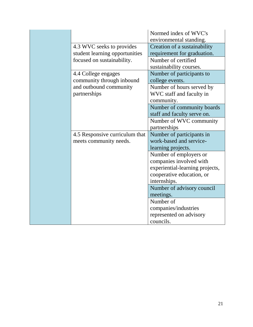|                                | Normed index of WVC's<br>environmental standing. |
|--------------------------------|--------------------------------------------------|
| 4.3 WVC seeks to provides      | Creation of a sustainability                     |
| student learning opportunities | requirement for graduation.                      |
| focused on sustainability.     | Number of certified                              |
|                                | sustainability courses.                          |
| 4.4 College engages            | Number of participants to                        |
| community through inbound      | college events.                                  |
| and outbound community         | Number of hours served by                        |
| partnerships                   | WVC staff and faculty in                         |
|                                | community.                                       |
|                                | Number of community boards                       |
|                                | staff and faculty serve on.                      |
|                                | Number of WVC community                          |
|                                | partnerships                                     |
| 4.5 Responsive curriculum that | Number of participants in                        |
| meets community needs.         | work-based and service-                          |
|                                | learning projects.                               |
|                                | Number of employers or                           |
|                                | companies involved with                          |
|                                | experiential-learning projects,                  |
|                                | cooperative education, or                        |
|                                | internships.                                     |
|                                | Number of advisory council                       |
|                                | meetings.                                        |
|                                | Number of                                        |
|                                | companies/industries                             |
|                                | represented on advisory                          |
|                                | councils.                                        |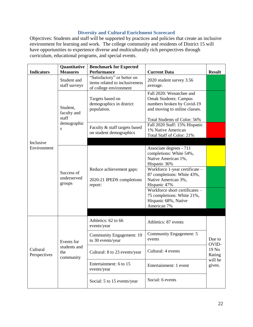# **Diversity and Cultural Enrichment Scorecard**

Objectives: Students and staff will be supported by practices and policies that create an inclusive environment for learning and work. The college community and residents of District 15 will have opportunities to experience diverse and multiculturally rich perspectives through curriculum, educational programs, and special events.

| <b>Indicators</b>        | <b>Quantitative</b><br><b>Measures</b> | <b>Benchmark for Expected</b><br><b>Performance</b>                                     | <b>Current Data</b>                                                                                                                                                                                                                                                                                     | <b>Result</b>     |  |
|--------------------------|----------------------------------------|-----------------------------------------------------------------------------------------|---------------------------------------------------------------------------------------------------------------------------------------------------------------------------------------------------------------------------------------------------------------------------------------------------------|-------------------|--|
|                          | Student and<br>staff surveys           | "Satisfactory" or better on<br>items related to inclusiveness<br>of college environment | 2020 student survey 3.56<br>average.                                                                                                                                                                                                                                                                    |                   |  |
|                          | Student,<br>faculty and                | Targets based on<br>demographics in district<br>population.                             | Fall 2020: Wenatchee and<br><b>Omak Students: Campus</b><br>numbers broken by Covid-19<br>and moving to online classes.                                                                                                                                                                                 |                   |  |
|                          | staff<br>demographic<br>S              | Faculty & staff targets based<br>on student demographics                                | Total Students of Color: 56%<br>Fall 2020 Staff: 15% Hispanic<br>1% Native American<br>Total Staff of Color: 21%                                                                                                                                                                                        |                   |  |
| Inclusive<br>Environment | Success of<br>underserved<br>groups    | Reduce achievement gaps:<br>2020-21 IPEDS completions<br>report:                        | Associate degrees - 711<br>completions: White 54%,<br>Native American 1%,<br>Hispanic 36%<br>Workforce 1-year certificate -<br>87 completions: White 43%,<br>Native American 3%,<br>Hispanic 47%<br>Workforce short certificates -<br>75 completions: White 21%,<br>Hispanic 68%, Native<br>American 7% |                   |  |
|                          |                                        | Athletics: 62 to 66<br>events/year                                                      | Athletics: 87 events                                                                                                                                                                                                                                                                                    |                   |  |
| Cultural<br>Perspectives | Events for                             | Community Engagement: 19<br>to 30 events/year                                           | Community Engagement: 5<br>events                                                                                                                                                                                                                                                                       | Due to<br>OVID-   |  |
|                          | students and<br>the<br>community       | Cultural: 8 to 23 events/year                                                           | Cultural: 4 events                                                                                                                                                                                                                                                                                      | 19 No<br>Rating   |  |
|                          |                                        | Entertainment: 6 to 15<br>events/year                                                   | Entertainment: 1 event                                                                                                                                                                                                                                                                                  | will be<br>given. |  |
|                          |                                        | Social: 5 to 15 events/year                                                             | Social: 6 events                                                                                                                                                                                                                                                                                        |                   |  |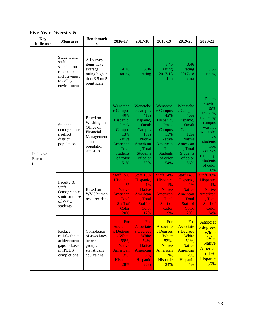|  | <b>Five-Year Diversity &amp;</b> |  |
|--|----------------------------------|--|
|--|----------------------------------|--|

| <b>Key</b><br><b>Indicator</b> | <b>Measures</b>                                                                                  | <b>Benchmark</b><br>S                                                                                | 2016-17                                                                                                                                         | 2017-18                                                                                                                                         | 2018-19                                                                                                                                         | 2019-20                                                                                                                                         | 2020-21                                                                                                                                                                             |
|--------------------------------|--------------------------------------------------------------------------------------------------|------------------------------------------------------------------------------------------------------|-------------------------------------------------------------------------------------------------------------------------------------------------|-------------------------------------------------------------------------------------------------------------------------------------------------|-------------------------------------------------------------------------------------------------------------------------------------------------|-------------------------------------------------------------------------------------------------------------------------------------------------|-------------------------------------------------------------------------------------------------------------------------------------------------------------------------------------|
|                                | Student and<br>staff<br>satisfaction<br>related to<br>inclusiveness<br>to college<br>environment | All survey<br>items have<br>average<br>rating higher<br>than $3.5$ on $5$<br>point scale             | 4.10<br>rating                                                                                                                                  | 3.46<br>rating                                                                                                                                  | 3.46<br>rating<br>2017-18<br>data                                                                                                               | 3.46<br>rating<br>2017-18<br>data                                                                                                               | 3.56<br>rating                                                                                                                                                                      |
| Inclusive<br>Environmen<br>t   | Student<br>demographic<br>s reflect<br>district<br>population                                    | Based on<br>Washington<br>Office of<br>Financial<br>Management<br>annual<br>population<br>statistics | Wenatche<br>e Campus<br>40%<br>Hispanic,<br>Omak<br>Campus<br>13%<br><b>Native</b><br>American<br>, Total<br><b>Students</b><br>of color<br>51% | Wenatche<br>e Campus<br>41%<br>Hispanic,<br>Omak<br>Campus<br>13%<br><b>Native</b><br>American<br>, Total<br><b>Students</b><br>of color<br>53% | Wenatche<br>e Campus<br>42%<br>Hispanic,<br>Omak<br>Campus<br>15%<br><b>Native</b><br>American<br>, Total<br><b>Students</b><br>of color<br>54% | Wenatche<br>e Campus<br>46%<br>Hispanic,<br>Omak<br>Campus<br>12%<br><b>Native</b><br>American<br>, Total<br><b>Students</b><br>of color<br>56% | Due to<br>Covid-<br>19%<br>tracking<br>student by<br>campus<br>was not<br>available,<br><b>as</b><br>students<br>took<br>courses<br>remotely.<br><b>Students</b><br>of color<br>56% |
|                                | Faculty &<br>Staff<br>demographic<br>s mirror those<br>of WVC<br>students                        | Based on<br>WVC human<br>resource data                                                               | <b>Staff 15%</b><br>Hispanic,<br>1%<br><b>Native</b><br><b>American</b><br>, Total<br><b>Staff of</b><br>Color<br>20%                           | <b>Staff 15%</b><br>Hispanic,<br>1%<br><b>Native</b><br><b>American</b><br>, Total<br><b>Staff of</b><br>Color<br>17%                           | <b>Staff 14%</b><br>Hispanic,<br>$1\%$<br><b>Native</b><br><b>American</b><br>, Total<br><b>Staff of</b><br>Color<br>19%                        | <b>Staff 14%</b><br>Hispanic,<br>1%<br><b>Native</b><br><b>American</b><br>, Total<br><b>Staff of</b><br>Color<br>20%                           | <b>Staff 20%</b><br>Hispanic,<br>1%<br><b>Native</b><br>American<br>, Total<br><b>Staff of</b><br>Color<br>24%                                                                      |
|                                | Reduce<br>racial/ethnic<br>achievement<br>gaps as based<br>in IPEDS<br>completions               | Completion<br>of associates<br>between<br>groups<br>statistically<br>equivalent                      | For<br><b>Associate</b><br>s Degrees<br>- White<br>59%,<br><b>Native</b><br><b>American</b><br>$3\%$ ,<br><b>Hispanic</b><br>28%                | For<br><b>Associate</b><br>s Degrees<br><b>White</b><br>54%,<br><b>Native</b><br>American<br>3%,<br><b>Hispanic</b><br>27%                      | For<br>Associate<br>s Degrees<br>White<br>53%,<br><b>Native</b><br>American<br>$3\%$ ,<br>Hispanic<br>34%                                       | For<br>Associate<br>s Degrees<br>White<br>$52\%$ ,<br><b>Native</b><br>American<br>$2\%$ ,<br>Hispanic<br><b>31%</b>                            | <b>Associat</b><br>e degrees<br>White<br>54%,<br><b>Native</b><br>America<br>n 1%,<br>Hispanic<br>36%                                                                               |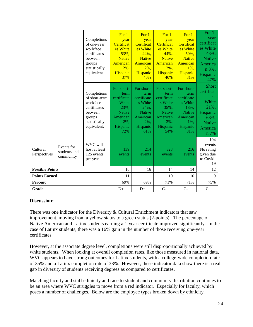|                          |                                         | Completions<br>of one-year<br>workface<br>certificates<br>between<br>groups<br>statistically<br>equivalent.   | For $1-$<br>year<br>Certificat<br>es White<br>53%,<br><b>Native</b><br>American<br>$2\%$ ,<br>Hispanic<br>37%   | For $1-$<br>year<br>Certificat<br>es White<br>44%,<br><b>Native</b><br>American<br>$2\%$ ,<br>Hispanic<br>40%   | For $1-$<br>year<br>Certificat<br>es White<br>$44%$ .<br><b>Native</b><br>American<br>$2\%$ ,<br>Hispanic<br>40% | For $1-$<br>year<br>Certificat<br>es White<br>50%,<br><b>Native</b><br>American<br>$1\%$ ,<br>Hispanic<br>31%   | For $1-$<br>year<br>certificat<br>es White<br>43%.<br><b>Native</b><br>America<br>n 3%,<br>Hispanic<br>47% |
|--------------------------|-----------------------------------------|---------------------------------------------------------------------------------------------------------------|-----------------------------------------------------------------------------------------------------------------|-----------------------------------------------------------------------------------------------------------------|------------------------------------------------------------------------------------------------------------------|-----------------------------------------------------------------------------------------------------------------|------------------------------------------------------------------------------------------------------------|
|                          |                                         | Completions<br>of short-term<br>workface<br>certificates<br>between<br>groups<br>statistically<br>equivalent. | For short-<br>term<br>certificate<br>s White<br>23%,<br><b>Native</b><br>American<br>$2\%$ ,<br>Hispanic<br>72% | For short-<br>term<br>certificate<br>s White<br>24%,<br><b>Native</b><br>American<br>$2\%$ ,<br>Hispanic<br>61% | For short-<br>term<br>certificate<br>s White<br>35%,<br><b>Native</b><br>American<br>$2\%$ ,<br>Hispanic<br>54%  | For short-<br>term<br>certificate<br>s White<br>18%,<br><b>Native</b><br>American<br>$1\%$ ,<br>Hispanic<br>81% | <b>Short</b><br>certificat<br>es:<br>White<br>21%,<br>Hispanic<br>68%,<br><b>Native</b><br>America<br>n 7% |
| Cultural<br>Perspectives | Events for<br>students and<br>community | WVC will<br>host at least<br>125 events<br>per year                                                           | 139<br>events                                                                                                   | 214<br>events                                                                                                   | 328<br>events                                                                                                    | 216<br>events                                                                                                   | 104<br>events<br>No rating<br>given due<br>to Covid-<br>19                                                 |
| <b>Possible Points</b>   |                                         |                                                                                                               | 16                                                                                                              | 16                                                                                                              | 14                                                                                                               | 14                                                                                                              | 12                                                                                                         |
| <b>Points Earned</b>     |                                         |                                                                                                               | 11                                                                                                              | 11                                                                                                              | 10                                                                                                               | 10                                                                                                              | 9                                                                                                          |
| <b>Percent</b>           |                                         |                                                                                                               | 69%                                                                                                             | 69%                                                                                                             | 71%                                                                                                              | 71%                                                                                                             | 75%                                                                                                        |
| Grade                    |                                         |                                                                                                               | $D+$                                                                                                            | $D+$                                                                                                            | $C -$                                                                                                            | $C -$                                                                                                           | $\mathcal{C}$                                                                                              |

There was one indicator for the Diversity  $&$  Cultural Enrichment indicators that saw improvement, moving from a yellow status to a green status (2-points). The percentage of Native American and Latinx students earning a 1-year certificate improved significantly. In the case of Latinx students, there was a 16% gain in the number of those receiving one-year certificates.

However, at the associate degree level, completions were still disproportionally achieved by white students. When looking at overall completion rates, like those measured in national data, WVC appears to have strong outcomes for Latinx students, with a college-wide completion rate of 35% and a Latinx completion rate of 33%. However, these indicator data show there is a real gap in diversity of students receiving degrees as compared to certificates.

Matching faculty and staff ethnicity and race to student and community distribution continues to be an area where WVC struggles to move from a red indicator. Especially for faculty, which poses a number of challenges. Below are the employee types broken down by ethnicity.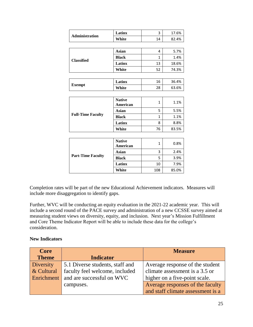| <b>Administration</b>    | Latinx                           | 3            | 17.6% |  |  |
|--------------------------|----------------------------------|--------------|-------|--|--|
|                          | White                            | 14           | 82.4% |  |  |
|                          |                                  |              |       |  |  |
|                          | <b>Asian</b>                     | 4            | 5.7%  |  |  |
|                          | <b>Black</b>                     | 1            | 1.4%  |  |  |
| <b>Classified</b>        | <b>Latinx</b>                    | 13           | 18.6% |  |  |
|                          | White                            | 52           | 74.3% |  |  |
|                          |                                  |              |       |  |  |
| <b>Exempt</b>            | <b>Latinx</b>                    | 16           | 36.4% |  |  |
|                          | White                            | 28           | 63.6% |  |  |
|                          |                                  |              |       |  |  |
|                          | <b>Native</b><br>American        | 1            | 1.1%  |  |  |
|                          | Asian                            | 5            | 5.5%  |  |  |
| <b>Full-Time Faculty</b> | <b>Black</b>                     | 1            | 1.1%  |  |  |
|                          | Latinx                           | 8            | 8.8%  |  |  |
|                          | White                            | 76           | 83.5% |  |  |
|                          |                                  |              |       |  |  |
|                          | <b>Native</b><br><b>American</b> | $\mathbf{1}$ | 0.8%  |  |  |
|                          | <b>Asian</b>                     | 3            | 2.4%  |  |  |

|                          | American     |     | <b>0.000</b> |
|--------------------------|--------------|-----|--------------|
| <b>Part-Time Faculty</b> | Asian        |     | 2.4%         |
|                          | <b>Black</b> |     | 3.9%         |
|                          | Latinx       | 10  | 7.9%         |
|                          | White        | 108 | 85.0%        |

Completion rates will be part of the new Educational Achievement indicators. Measures will include more disaggregation to identify gaps.

Further, WVC will be conducting an equity evaluation in the 2021-22 academic year. This will include a second round of the PACE survey and administration of a new CCSSE survey aimed at measuring student views on diversity, equity, and inclusion. Next year's Mission Fulfillment and Core Theme Indicator Report will be able to include these data for the college's consideration.

## **New Indicators**

| <b>Core</b>  |                                 | <b>Measure</b>                    |
|--------------|---------------------------------|-----------------------------------|
| <b>Theme</b> | <b>Indicator</b>                |                                   |
| Diversity    | 5.1 Diverse students, staff and | Average response of the student   |
| & Cultural   | faculty feel welcome, included  | climate assessment is a 3.5 or    |
| Enrichment   | and are successful on WVC       | higher on a five-point scale.     |
|              | campuses.                       | Average responses of the faculty  |
|              |                                 | and staff climate assessment is a |